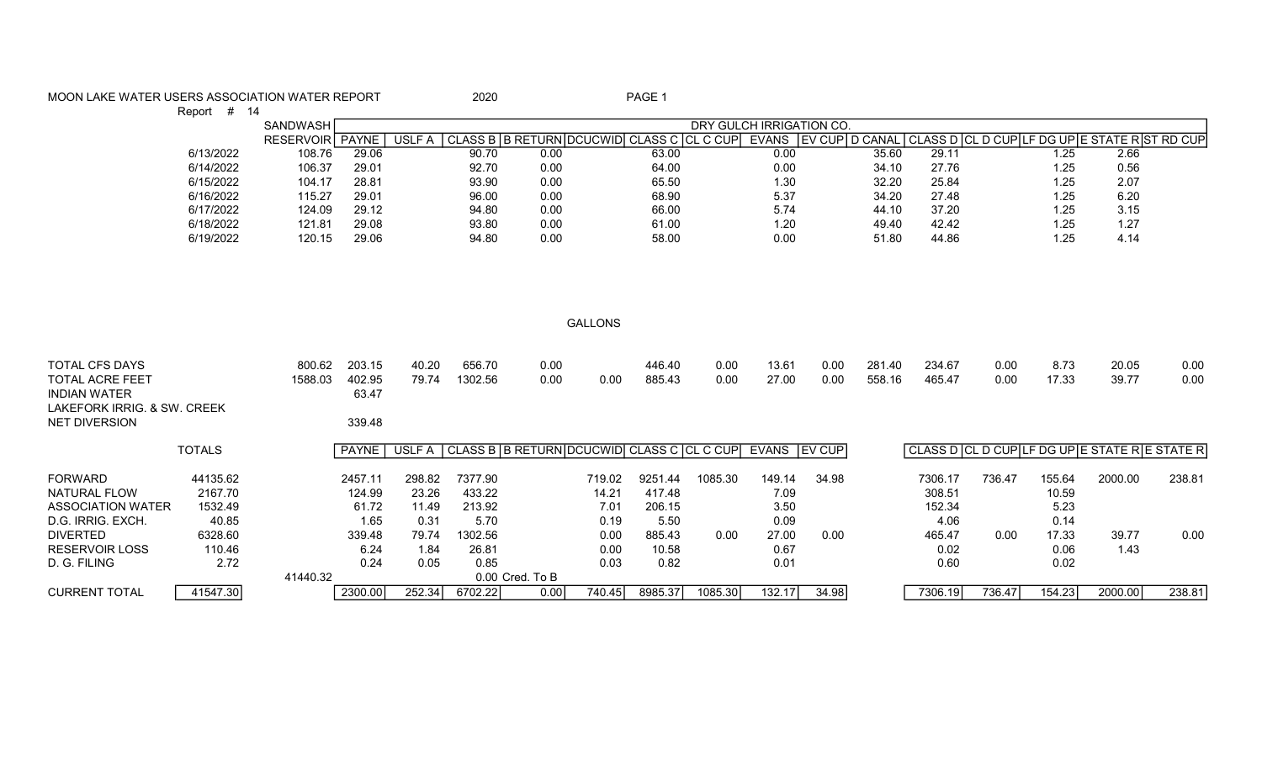## MOON LAKE WATER USERS ASSOCIATION WATER REPORT 2020 2020

Report # 14

|           | <b>SANDWASH</b>  |              | DRY GULCH IRRIGATION CO. |       |                             |             |          |              |               |           |       |  |      |      |  |
|-----------|------------------|--------------|--------------------------|-------|-----------------------------|-------------|----------|--------------|---------------|-----------|-------|--|------|------|--|
|           | <b>RESERVOIR</b> | <b>PAYNE</b> | USLF A                   |       | LASS B   B RETURN   DCUCWID | CLASS C ICL | . C CUPI | <b>EVANS</b> | I EV<br>' CUP | D CANAL I |       |  |      |      |  |
| 6/13/2022 | 108.76           | 29.06        |                          | 90.70 | 0.00                        | 63.00       |          | 0.00         |               | 35.60     | 29.11 |  | l.25 | 2.66 |  |
| 6/14/2022 | 106.37           | 29.01        |                          | 92.70 | 0.00                        | 64.00       |          | 0.00         |               | 34.10     | 27.76 |  | 1.25 | 0.56 |  |
| 6/15/2022 | 104.17           | 28.81        |                          | 93.90 | 0.00                        | 65.50       |          | 1.30         |               | 32.20     | 25.84 |  | 1.25 | 2.07 |  |
| 6/16/2022 | 115.27           | 29.01        |                          | 96.00 | 0.00                        | 68.90       |          | 5.37         |               | 34.20     | 27.48 |  | 1.25 | 6.20 |  |
| 6/17/2022 | 124.09           | 29.12        |                          | 94.80 | 0.00                        | 66.00       |          | 5.74         |               | 44.10     | 37.20 |  | 1.25 | 3.15 |  |
| 6/18/2022 | 121.81           | 29.08        |                          | 93.80 | 0.00                        | 61.00       |          | 1.20         |               | 49.40     | 42.42 |  | 1.25 | 1.27 |  |
| 6/19/2022 | 120.15           | 29.06        |                          | 94.80 | 0.00                        | 58.00       |          | 0.00         |               | 51.80     | 44.86 |  | 25.، | 4.14 |  |

GALLONS

| <b>TOTAL CFS DAYS</b><br><b>TOTAL ACRE FEET</b><br><b>INDIAN WATER</b><br>LAKEFORK IRRIG, & SW. CREEK<br><b>NET DIVERSION</b> |               | 800.62<br>1588.03 | 203.15<br>402.95<br>63.47<br>339.48 | 40.20<br>79.74 | 656.70<br>1302.56 | 0.00<br>0.00                              | 0.00   | 446.40<br>885.43 | 0.00<br>0.00 | 13.61<br>27.00  | 0.00<br>0.00 | 281.40<br>558.16 | 234.67<br>465.47 | 0.00<br>0.00 | 8.73<br>17.33 | 20.05<br>39.77                              | 0.00<br>0.00 |
|-------------------------------------------------------------------------------------------------------------------------------|---------------|-------------------|-------------------------------------|----------------|-------------------|-------------------------------------------|--------|------------------|--------------|-----------------|--------------|------------------|------------------|--------------|---------------|---------------------------------------------|--------------|
|                                                                                                                               | <b>TOTALS</b> |                   | <sup>∖</sup> PAYNE ∣                | USLF A I       |                   | CLASS B B RETURN DCUCWID CLASS C CL C CUP |        |                  |              | EVANS I EV CUPI |              |                  |                  |              |               | CLASS D CL D CUPLF DG UPLE STATE RE STATE R |              |
| <b>FORWARD</b>                                                                                                                | 44135.62      |                   | 2457.11                             | 298.82         | 7377.90           |                                           | 719.02 | 9251.44          | 1085.30      | 149.14          | 34.98        |                  | 7306.17          | 736.47       | 155.64        | 2000.00                                     | 238.81       |
| NATURAL FLOW                                                                                                                  | 2167.70       |                   | 124.99                              | 23.26          | 433.22            |                                           | 14.21  | 417.48           |              | 7.09            |              |                  | 308.51           |              | 10.59         |                                             |              |
| ASSOCIATION WATER                                                                                                             | 1532.49       |                   | 61.72                               | 11.49          | 213.92            |                                           | 7.01   | 206.15           |              | 3.50            |              |                  | 152.34           |              | 5.23          |                                             |              |
| D.G. IRRIG. EXCH.                                                                                                             | 40.85         |                   | 1.65                                | 0.31           | 5.70              |                                           | 0.19   | 5.50             |              | 0.09            |              |                  | 4.06             |              | 0.14          |                                             |              |
| <b>DIVERTED</b>                                                                                                               | 6328.60       |                   | 339.48                              | 79.74          | 1302.56           |                                           | 0.00   | 885.43           | 0.00         | 27.00           | 0.00         |                  | 465.47           | 0.00         | 17.33         | 39.77                                       | 0.00         |
| <b>RESERVOIR LOSS</b>                                                                                                         | 110.46        |                   | 6.24                                | 1.84           | 26.81             |                                           | 0.00   | 10.58            |              | 0.67            |              |                  | 0.02             |              | 0.06          | 1.43                                        |              |
| D. G. FILING                                                                                                                  | 2.72          |                   | 0.24                                | 0.05           | 0.85              |                                           | 0.03   | 0.82             |              | 0.01            |              |                  | 0.60             |              | 0.02          |                                             |              |
|                                                                                                                               |               | 41440.32          |                                     |                |                   | 0.00 Cred. To B                           |        |                  |              |                 |              |                  |                  |              |               |                                             |              |
| <b>CURRENT TOTAL</b>                                                                                                          | 41547.30      |                   | 2300.00                             | 252.34         | 6702.22           | 0.00                                      | 740.45 | 8985.37          | 1085.30      | 132.17          | 34.98        |                  | 7306.19          | 736.47       | 154.23        | 2000.00                                     | 238.81       |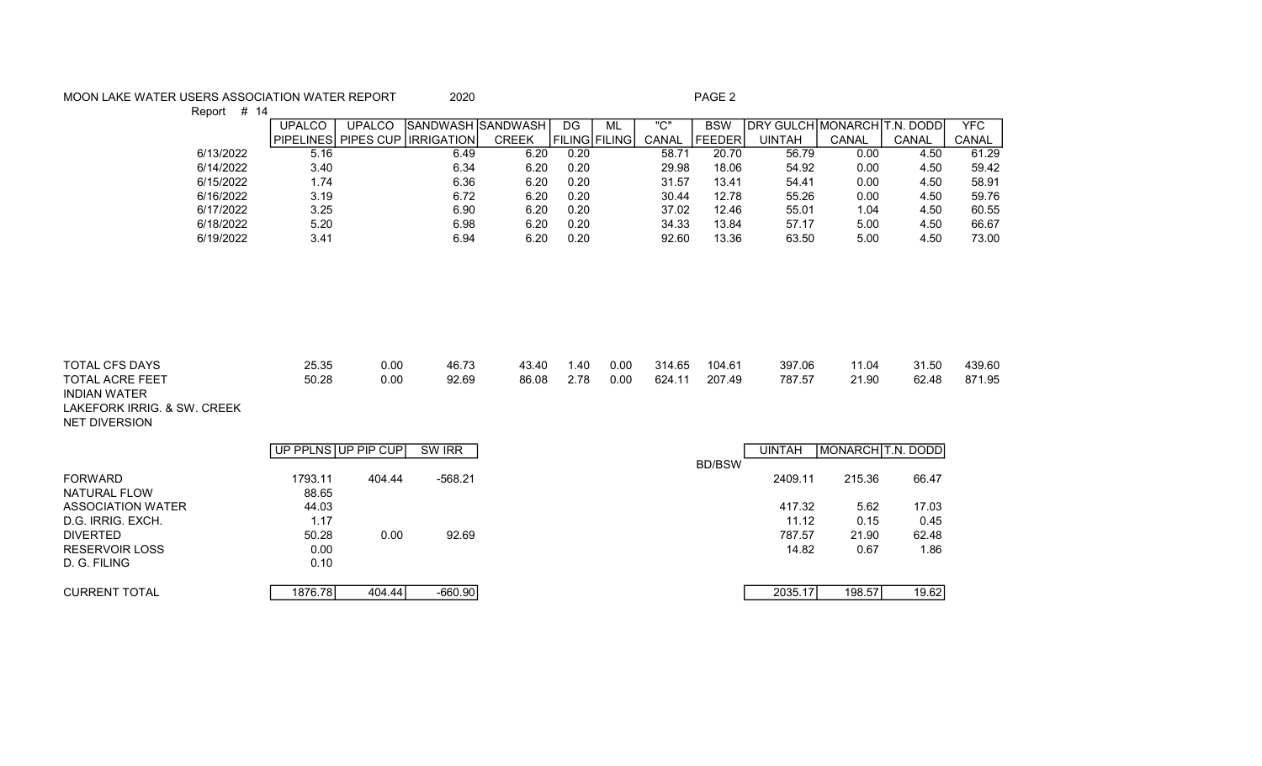## MOON LAKE WATER USERS ASSOCIATION WATER REPORT 2020 2020

Report # 14

|           | <b>UPALCO</b>    | <b>UPALCO</b> | <b>ISANDWASH ISANDWASH</b> |              | DG                   | ML | "C"   | <b>BSW</b>    | IDRY GULCHIMONARCHIT.N. DODDI |       |       | <b>YFC</b> |
|-----------|------------------|---------------|----------------------------|--------------|----------------------|----|-------|---------------|-------------------------------|-------|-------|------------|
|           | <b>PIPELINES</b> | PIPES CUP     | <b>IIRRIGATION</b>         | <b>CREEK</b> | <b>FILING FILING</b> |    | CANAL | <b>FEEDER</b> | UINTAH                        | CANAL | CANAL | CANAL      |
| 6/13/2022 | 5.16             |               | 6.49                       | 6.20         | 0.20                 |    | 58.71 | 20.70         | 56.79                         | 0.00  | 4.50  | 61.29      |
| 6/14/2022 | 3.40             |               | 6.34                       | 6.20         | 0.20                 |    | 29.98 | 18.06         | 54.92                         | 0.00  | 4.50  | 59.42      |
| 6/15/2022 | 1.74             |               | 6.36                       | 6.20         | 0.20                 |    | 31.57 | 13.41         | 54.41                         | 0.00  | 4.50  | 58.91      |
| 6/16/2022 | 3.19             |               | 6.72                       | 6.20         | 0.20                 |    | 30.44 | 12.78         | 55.26                         | 0.00  | 4.50  | 59.76      |
| 6/17/2022 | 3.25             |               | 6.90                       | 6.20         | 0.20                 |    | 37.02 | 12.46         | 55.01                         | 1.04  | 4.50  | 60.55      |
| 6/18/2022 | 5.20             |               | 6.98                       | 6.20         | 0.20                 |    | 34.33 | 13.84         | 57.17                         | 5.00  | 4.50  | 66.67      |
| 6/19/2022 | 3.41             |               | 6.94                       | 6.20         | 0.20                 |    | 92.60 | 13.36         | 63.50                         | 5.00  | 4.50  | 73.00      |
|           |                  |               |                            |              |                      |    |       |               |                               |       |       |            |

| <b>TOTAL CFS DAYS</b>  | 25.35 | 0.00 | 46.73 | 43.40 | 1.40 | 0.00 | 314.65 | 104.61 | 397.06 | 11.04 | 31.50 | 439.60 |
|------------------------|-------|------|-------|-------|------|------|--------|--------|--------|-------|-------|--------|
| <b>TOTAL ACRE FEET</b> | 50.28 | 0.00 | 92.69 | 86.08 | 2.78 | 0.00 | 624.11 | 207.49 | 787.57 | 21.90 | 62.48 | 871.95 |
| <b>INDIAN WATER</b>    |       |      |       |       |      |      |        |        |        |       |       |        |

LAKEFORK IRRIG. & SW. CREEK NET DIVERSION

|                                | UP PPLNS JUP PIP CUPI |        | SW IRR    |               | <b>UINTAH</b> | MONARCH T.N. DODD |       |
|--------------------------------|-----------------------|--------|-----------|---------------|---------------|-------------------|-------|
|                                |                       |        |           | <b>BD/BSW</b> |               |                   |       |
| <b>FORWARD</b><br>NATURAL FLOW | 1793.11<br>88.65      | 404.44 | $-568.21$ |               | 2409.11       | 215.36            | 66.47 |
| ASSOCIATION WATER              | 44.03                 |        |           |               | 417.32        | 5.62              | 17.03 |
| D.G. IRRIG. EXCH.              | 1.17                  |        |           |               | 11.12         | 0.15              | 0.45  |
| <b>DIVERTED</b>                | 50.28                 | 0.00   | 92.69     |               | 787.57        | 21.90             | 62.48 |
| <b>RESERVOIR LOSS</b>          | 0.00                  |        |           |               | 14.82         | 0.67              | 1.86  |
| D. G. FILING                   | 0.10                  |        |           |               |               |                   |       |
| <b>CURRENT TOTAL</b>           | 1876.78               | 404.44 | $-660.90$ |               | 2035.17       | 198.57            | 19.62 |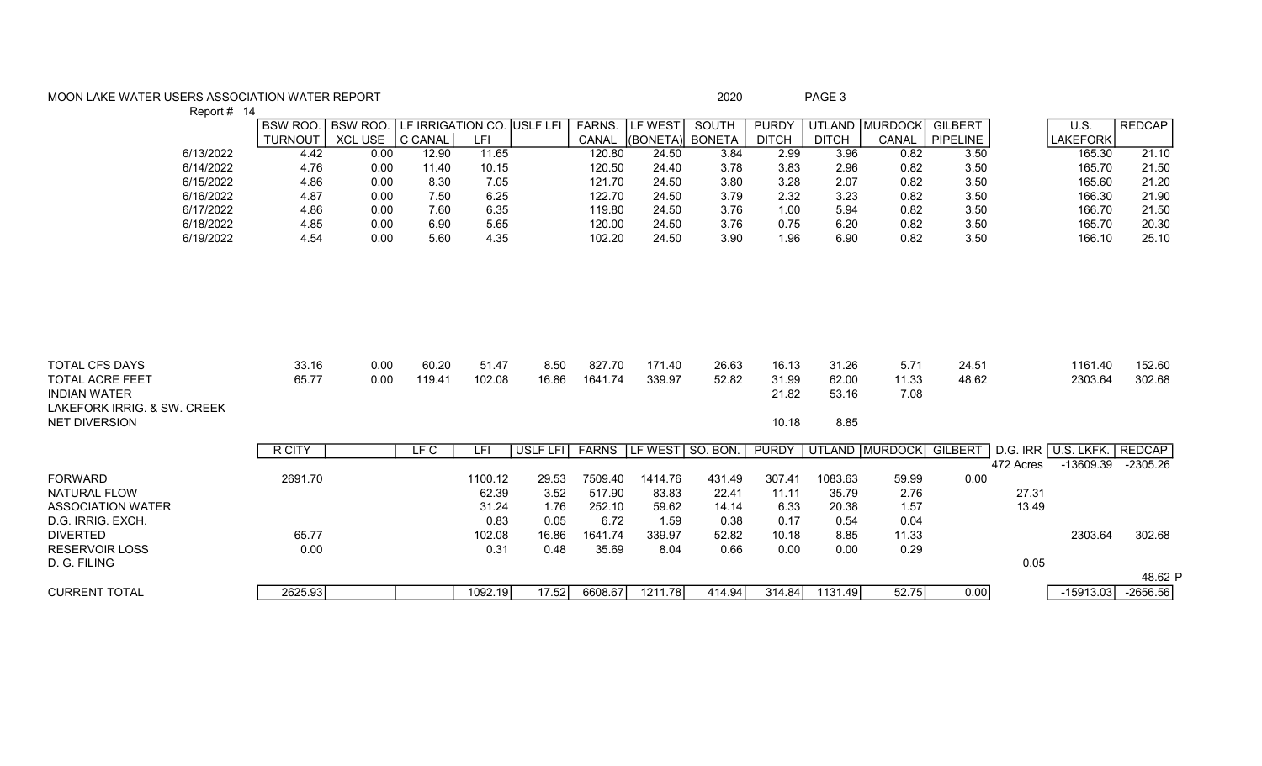## MOON LAKE WATER USERS ASSOCIATION WATER REPORT **Example 2018** 2020 2020 PAGE 3 Report # 14

|                                                                        | $\mathbf{r}$ |                |                 |                            |                 |                 |                   |                  |                |                         |                         |                       |                |           |                     |                  |
|------------------------------------------------------------------------|--------------|----------------|-----------------|----------------------------|-----------------|-----------------|-------------------|------------------|----------------|-------------------------|-------------------------|-----------------------|----------------|-----------|---------------------|------------------|
|                                                                        |              | <b>BSW ROO</b> | <b>BSW ROO.</b> | LF IRRIGATION CO. USLF LFI |                 |                 | FARNS.            | LF WEST          | SOUTH          | <b>PURDY</b>            |                         | UTLAND MURDOCK        | <b>GILBERT</b> |           | $\overline{U.S.}$   | <b>REDCAP</b>    |
|                                                                        |              | <b>TURNOUT</b> | <b>XCL USE</b>  | C CANAL                    | LFI             |                 | CANAL             | (BONETA)         | <b>BONETA</b>  | <b>DITCH</b>            | <b>DITCH</b>            | CANAL                 | PIPELINE       |           | <b>LAKEFORK</b>     |                  |
|                                                                        | 6/13/2022    | 4.42           | 0.00            | 12.90                      | 11.65           |                 | 120.80            | 24.50            | 3.84           | 2.99                    | 3.96                    | 0.82                  | 3.50           |           | 165.30              | 21.10            |
|                                                                        | 6/14/2022    | 4.76           | 0.00            | 11.40                      | 10.15           |                 | 120.50            | 24.40            | 3.78           | 3.83                    | 2.96                    | 0.82                  | 3.50           |           | 165.70              | 21.50            |
|                                                                        | 6/15/2022    | 4.86           | 0.00            | 8.30                       | 7.05            |                 | 121.70            | 24.50            | 3.80           | 3.28                    | 2.07                    | 0.82                  | 3.50           |           | 165.60              | 21.20            |
|                                                                        | 6/16/2022    | 4.87           | 0.00            | 7.50                       | 6.25            |                 | 122.70            | 24.50            | 3.79           | 2.32                    | 3.23                    | 0.82                  | 3.50           |           | 166.30              | 21.90            |
|                                                                        | 6/17/2022    | 4.86           | 0.00            | 7.60                       | 6.35            |                 | 119.80            | 24.50            | 3.76           | 1.00                    | 5.94                    | 0.82                  | 3.50           |           | 166.70              | 21.50            |
|                                                                        | 6/18/2022    | 4.85           | 0.00            | 6.90                       | 5.65            |                 | 120.00            | 24.50            | 3.76           | 0.75                    | 6.20                    | 0.82                  | 3.50           |           | 165.70              | 20.30            |
|                                                                        | 6/19/2022    | 4.54           | 0.00            | 5.60                       | 4.35            |                 | 102.20            | 24.50            | 3.90           | 1.96                    | 6.90                    | 0.82                  | 3.50           |           | 166.10              | 25.10            |
|                                                                        |              |                |                 |                            |                 |                 |                   |                  |                |                         |                         |                       |                |           |                     |                  |
| <b>TOTAL CFS DAYS</b><br><b>TOTAL ACRE FEET</b><br><b>INDIAN WATER</b> |              | 33.16<br>65.77 | 0.00<br>0.00    | 60.20<br>119.41            | 51.47<br>102.08 | 8.50<br>16.86   | 827.70<br>1641.74 | 171.40<br>339.97 | 26.63<br>52.82 | 16.13<br>31.99<br>21.82 | 31.26<br>62.00<br>53.16 | 5.71<br>11.33<br>7.08 | 24.51<br>48.62 |           | 1161.40<br>2303.64  | 152.60<br>302.68 |
| LAKEFORK IRRIG, & SW. CREEK<br><b>NET DIVERSION</b>                    |              |                |                 |                            |                 |                 |                   |                  |                | 10.18                   | 8.85                    |                       |                |           |                     |                  |
|                                                                        |              | <b>R CITY</b>  |                 | LFC                        | LFI             | <b>USLF LFI</b> | <b>FARNS</b>      | LF WEST SO. BON. |                | <b>PURDY</b>            |                         | UTLAND MURDOCK        | GILBERT        |           | D.G. IRR U.S. LKFK. | <b>REDCAP</b>    |
|                                                                        |              |                |                 |                            |                 |                 |                   |                  |                |                         |                         |                       |                | 472 Acres | $-13609.39$         | $-2305.26$       |
| <b>FORWARD</b>                                                         |              | 2691.70        |                 |                            | 1100.12         | 29.53           | 7509.40           | 1414.76          | 431.49         | 307.41                  | 1083.63                 | 59.99                 | 0.00           |           |                     |                  |
| NATURAL FLOW                                                           |              |                |                 |                            | 62.39           | 3.52            | 517.90            | 83.83            | 22.41          | 11.11                   | 35.79                   | 2.76                  |                | 27.31     |                     |                  |
| <b>ASSOCIATION WATER</b>                                               |              |                |                 |                            | 31.24           | 1.76            | 252.10            | 59.62            | 14.14          | 6.33                    | 20.38                   | 1.57                  |                | 13.49     |                     |                  |
| D.G. IRRIG. EXCH.                                                      |              |                |                 |                            | 0.83            | 0.05            | 6.72              | 1.59             | 0.38           | 0.17                    | 0.54                    | 0.04                  |                |           |                     |                  |
| <b>DIVERTED</b>                                                        |              | 65.77          |                 |                            | 102.08          | 16.86           | 1641.74           | 339.97           | 52.82          | 10.18                   | 8.85                    | 11.33                 |                |           | 2303.64             | 302.68           |
| <b>RESERVOIR LOSS</b>                                                  |              | 0.00           |                 |                            | 0.31            | 0.48            | 35.69             | 8.04             | 0.66           | 0.00                    | 0.00                    | 0.29                  |                |           |                     |                  |
| D. G. FILING                                                           |              |                |                 |                            |                 |                 |                   |                  |                |                         |                         |                       |                | 0.05      |                     |                  |
|                                                                        |              |                |                 |                            |                 |                 |                   |                  |                |                         |                         |                       |                |           |                     | 48.62 P          |
| <b>CURRENT TOTAL</b>                                                   |              | 2625.93        |                 |                            | 1092.19         | 17.52           | 6608.67           | 1211.78          | 414.94         | 314.84                  | 1131.49                 | $\overline{52.75}$    | 0.00           |           | $-15913.03$         | $-2656.56$       |
|                                                                        |              |                |                 |                            |                 |                 |                   |                  |                |                         |                         |                       |                |           |                     |                  |